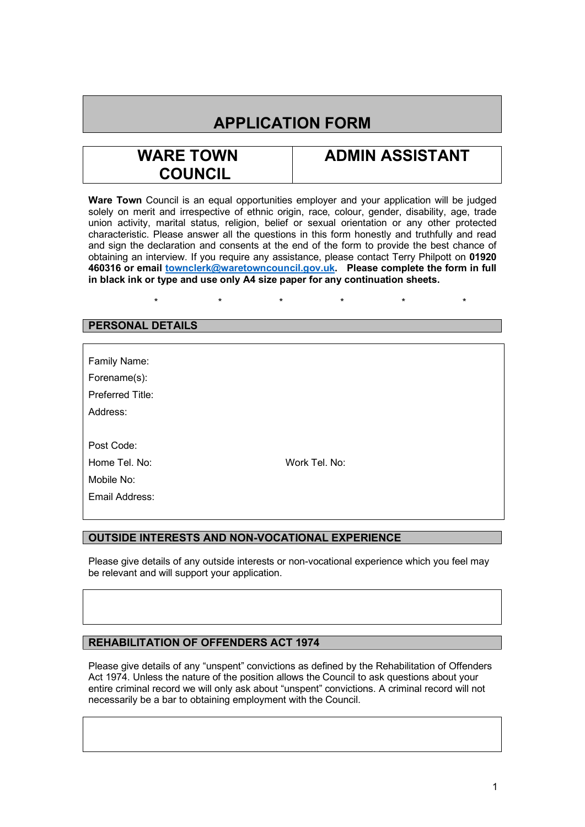# **APPLICATION FORM**

# **WARE TOWN COUNCIL**

## **ADMIN ASSISTANT**

**Ware Town** Council is an equal opportunities employer and your application will be judged solely on merit and irrespective of ethnic origin, race, colour, gender, disability, age, trade union activity, marital status, religion, belief or sexual orientation or any other protected characteristic. Please answer all the questions in this form honestly and truthfully and read and sign the declaration and consents at the end of the form to provide the best chance of obtaining an interview. If you require any assistance, please contact Terry Philpott on **01920 460316 or email [townclerk@waretowncouncil.gov.uk.](mailto:townclerk@waretowncouncil.gov.uk) Please complete the form in full in black ink or type and use only A4 size paper for any continuation sheets.** 

## \* \* \* \* \* \*

## **PERSONAL DETAILS**

| Family Name:     |               |
|------------------|---------------|
| Forename(s):     |               |
| Preferred Title: |               |
| Address:         |               |
|                  |               |
| Post Code:       |               |
| Home Tel. No:    | Work Tel. No: |
| Mobile No:       |               |
| Email Address:   |               |
|                  |               |

## **OUTSIDE INTERESTS AND NON-VOCATIONAL EXPERIENCE**

Please give details of any outside interests or non-vocational experience which you feel may be relevant and will support your application.

## **REHABILITATION OF OFFENDERS ACT 1974**

Please give details of any "unspent" convictions as defined by the Rehabilitation of Offenders Act 1974. Unless the nature of the position allows the Council to ask questions about your entire criminal record we will only ask about "unspent" convictions. A criminal record will not necessarily be a bar to obtaining employment with the Council.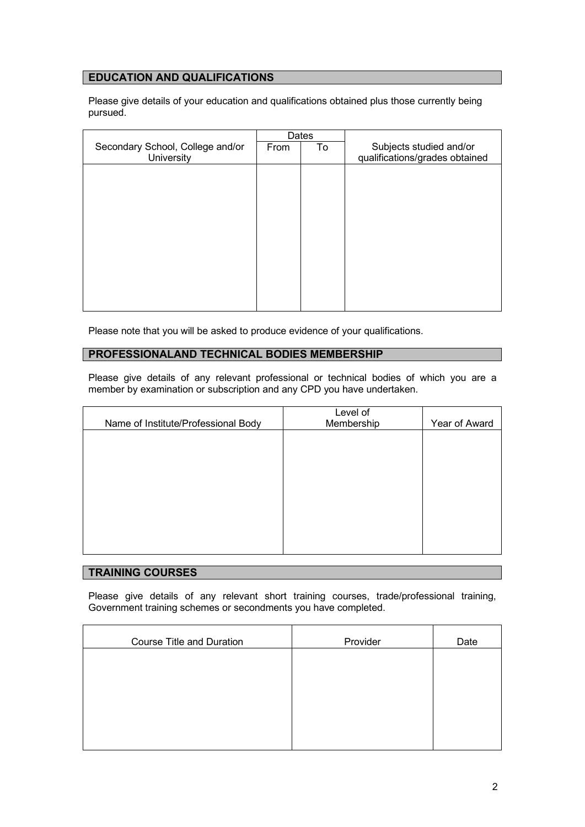## **EDUCATION AND QUALIFICATIONS**

Please give details of your education and qualifications obtained plus those currently being pursued.

|                                  | Dates |    |                                |
|----------------------------------|-------|----|--------------------------------|
| Secondary School, College and/or | From  | To | Subjects studied and/or        |
| University                       |       |    | qualifications/grades obtained |
|                                  |       |    |                                |
|                                  |       |    |                                |
|                                  |       |    |                                |
|                                  |       |    |                                |
|                                  |       |    |                                |
|                                  |       |    |                                |
|                                  |       |    |                                |
|                                  |       |    |                                |
|                                  |       |    |                                |
|                                  |       |    |                                |
|                                  |       |    |                                |
|                                  |       |    |                                |
|                                  |       |    |                                |
|                                  |       |    |                                |

Please note that you will be asked to produce evidence of your qualifications.

## **PROFESSIONALAND TECHNICAL BODIES MEMBERSHIP**

Please give details of any relevant professional or technical bodies of which you are a member by examination or subscription and any CPD you have undertaken.

|                                     | Level of   |               |
|-------------------------------------|------------|---------------|
| Name of Institute/Professional Body | Membership | Year of Award |
|                                     |            |               |
|                                     |            |               |
|                                     |            |               |
|                                     |            |               |
|                                     |            |               |
|                                     |            |               |
|                                     |            |               |
|                                     |            |               |
|                                     |            |               |
|                                     |            |               |
|                                     |            |               |

## **TRAINING COURSES**

Please give details of any relevant short training courses, trade/professional training, Government training schemes or secondments you have completed.

| <b>Course Title and Duration</b> | Provider | Date |
|----------------------------------|----------|------|
|                                  |          |      |
|                                  |          |      |
|                                  |          |      |
|                                  |          |      |
|                                  |          |      |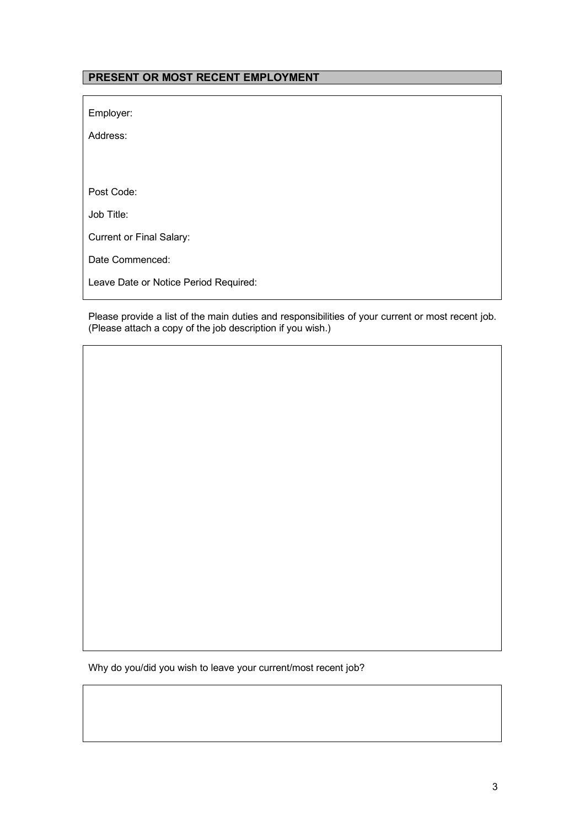## **PRESENT OR MOST RECENT EMPLOYMENT**

Employer:

Address:

Post Code:

Job Title:

Current or Final Salary:

Date Commenced:

Leave Date or Notice Period Required:

Please provide a list of the main duties and responsibilities of your current or most recent job. (Please attach a copy of the job description if you wish.)

Why do you/did you wish to leave your current/most recent job?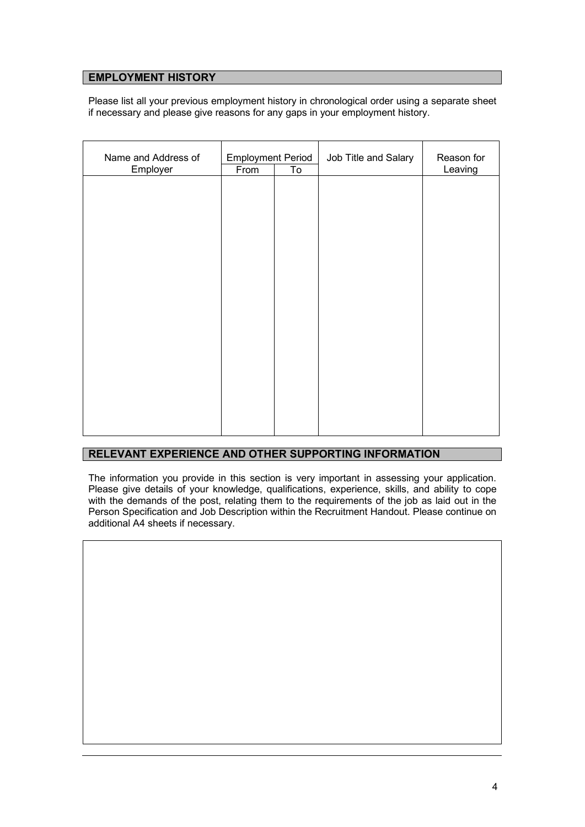## **EMPLOYMENT HISTORY**

Please list all your previous employment history in chronological order using a separate sheet if necessary and please give reasons for any gaps in your employment history.

| Name and Address of<br>Employer | <b>Employment Period</b><br>To<br>From |  | Job Title and Salary | Reason for<br>Leaving |
|---------------------------------|----------------------------------------|--|----------------------|-----------------------|
|                                 |                                        |  |                      |                       |
|                                 |                                        |  |                      |                       |
|                                 |                                        |  |                      |                       |
|                                 |                                        |  |                      |                       |
|                                 |                                        |  |                      |                       |
|                                 |                                        |  |                      |                       |
|                                 |                                        |  |                      |                       |
|                                 |                                        |  |                      |                       |
|                                 |                                        |  |                      |                       |

## **RELEVANT EXPERIENCE AND OTHER SUPPORTING INFORMATION**

The information you provide in this section is very important in assessing your application. Please give details of your knowledge, qualifications, experience, skills, and ability to cope with the demands of the post, relating them to the requirements of the job as laid out in the Person Specification and Job Description within the Recruitment Handout. Please continue on additional A4 sheets if necessary.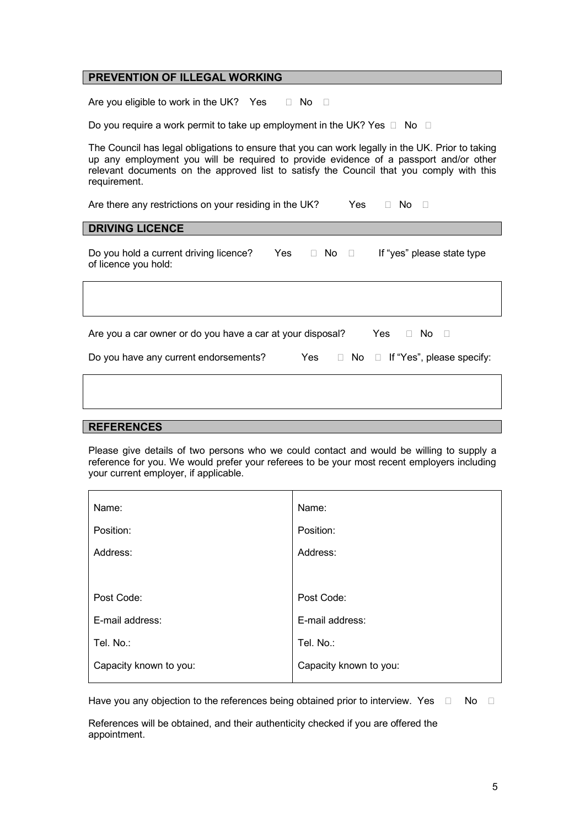#### **PREVENTION OF ILLEGAL WORKING**

Are you eligible to work in the UK? Yes  $\Box$  No  $\Box$ 

Do you require a work permit to take up employment in the UK? Yes  $\Box$  No  $\Box$ 

The Council has legal obligations to ensure that you can work legally in the UK. Prior to taking up any employment you will be required to provide evidence of a passport and/or other relevant documents on the approved list to satisfy the Council that you comply with this requirement.

Are there any restrictions on your residing in the UK? Yes  $\Box$  No  $\Box$ 

#### **DRIVING LICENCE**

Do you hold a current driving licence? Yes  $\Box$  No  $\Box$  If "yes" please state type of licence you hold:

| Are you a car owner or do you have a car at your disposal? |  | Yes $\Box$ No $\Box$                           |
|------------------------------------------------------------|--|------------------------------------------------|
| Do you have any current endorsements?                      |  | Yes $\Box$ No $\Box$ If "Yes", please specify: |
|                                                            |  |                                                |

#### **REFERENCES**

Please give details of two persons who we could contact and would be willing to supply a reference for you. We would prefer your referees to be your most recent employers including your current employer, if applicable.

| Name:                  | Name:                  |
|------------------------|------------------------|
| Position:              | Position:              |
| Address:               | Address:               |
|                        |                        |
| Post Code:             | Post Code:             |
| E-mail address:        | E-mail address:        |
| Tel. No.:              | Tel. No.:              |
| Capacity known to you: | Capacity known to you: |

Have you any objection to the references being obtained prior to interview. Yes  $\Box$  No  $\Box$ 

References will be obtained, and their authenticity checked if you are offered the appointment.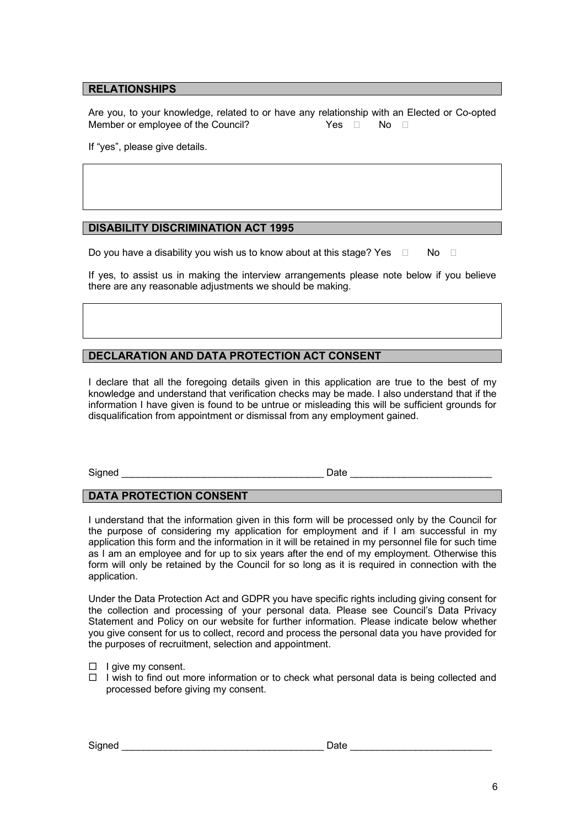#### **RELATIONSHIPS**

Are you, to your knowledge, related to or have any relationship with an Elected or Co-opted Member or employee of the Council?  $Yes \Box \qquad No \Box$ 

If "yes", please give details.

## **DISABILITY DISCRIMINATION ACT 1995**

Do you have a disability you wish us to know about at this stage? Yes  $\Box$  No  $\Box$ 

If yes, to assist us in making the interview arrangements please note below if you believe there are any reasonable adjustments we should be making.

## **DECLARATION AND DATA PROTECTION ACT CONSENT**

I declare that all the foregoing details given in this application are true to the best of my knowledge and understand that verification checks may be made. I also understand that if the information I have given is found to be untrue or misleading this will be sufficient grounds for disqualification from appointment or dismissal from any employment gained.

Signed **Example 20** and the set of the set of the set of the set of the set of the set of the set of the set of the set of the set of the set of the set of the set of the set of the set of the set of the set of the set of

## **DATA PROTECTION CONSENT**

I understand that the information given in this form will be processed only by the Council for the purpose of considering my application for employment and if I am successful in my application this form and the information in it will be retained in my personnel file for such time as I am an employee and for up to six years after the end of my employment. Otherwise this form will only be retained by the Council for so long as it is required in connection with the application.

Under the Data Protection Act and GDPR you have specific rights including giving consent for the collection and processing of your personal data. Please see Council's Data Privacy Statement and Policy on our website for further information. Please indicate below whether you give consent for us to collect, record and process the personal data you have provided for the purposes of recruitment, selection and appointment.

- $\Box$  I give my consent.
- $\Box$  I wish to find out more information or to check what personal data is being collected and processed before giving my consent.

Signed **Example 20** and  $\overline{a}$  Date  $\overline{b}$